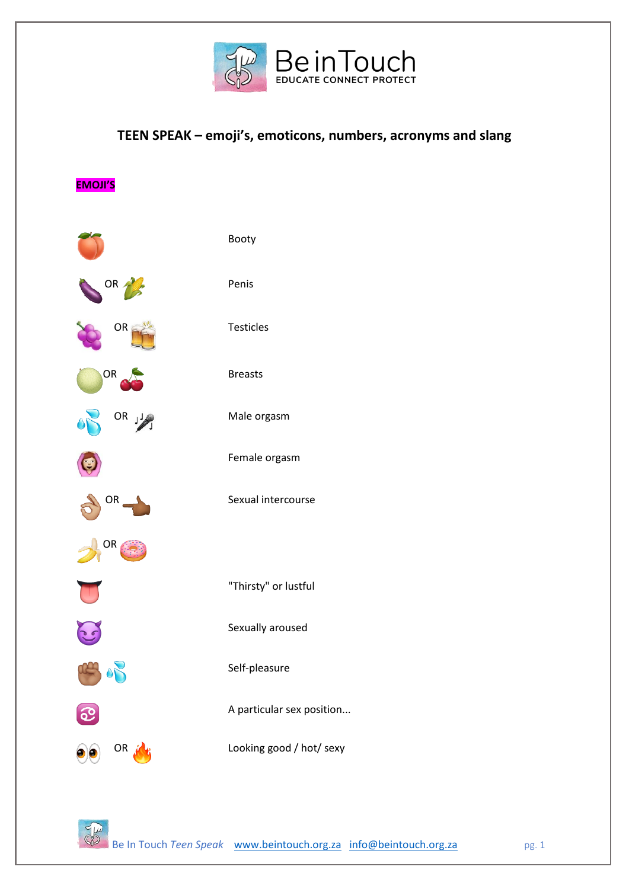

## **TEEN SPEAK – emoji's, emoticons, numbers, acronyms and slang**

**EMOJI'S**

|                | Booty                     |
|----------------|---------------------------|
| OR $\bigwedge$ | Penis                     |
| OR             | Testicles                 |
| OR             | <b>Breasts</b>            |
| OR JA          | Male orgasm               |
|                | Female orgasm             |
| OR             | Sexual intercourse        |
| OR             |                           |
|                | "Thirsty" or lustful      |
|                | Sexually aroused          |
|                | Self-pleasure             |
|                | A particular sex position |
| OR             | Looking good / hot/ sexy  |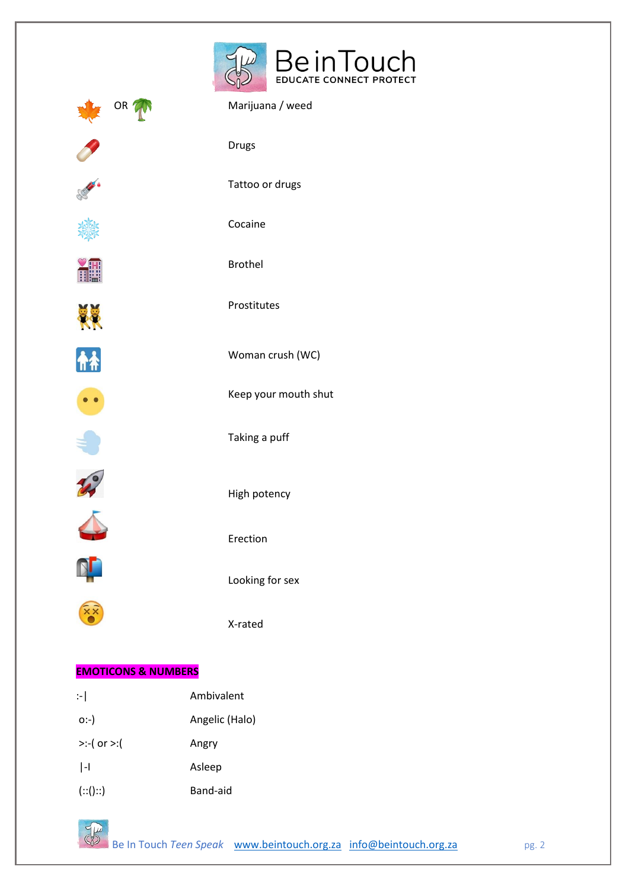



X-rated

#### **EMOTICONS & NUMBERS**

| $\left  \cdot \right $ | Ambivalent     |
|------------------------|----------------|
| $O(-)$                 | Angelic (Halo) |
| $>(-$ ( or $>=($       | Angry          |
| H                      | Asleep         |
| (::()::)               | Band-aid       |

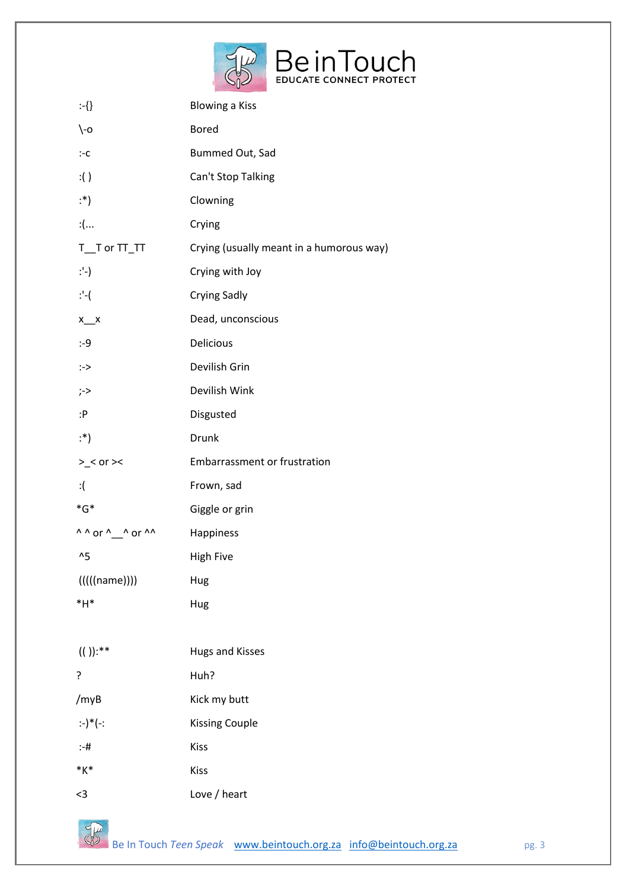

| :-{}                     | <b>Blowing a Kiss</b>                    |
|--------------------------|------------------------------------------|
| $\setminus$ -0           | <b>Bored</b>                             |
| $:-c$                    | Bummed Out, Sad                          |
| :()                      | Can't Stop Talking                       |
| :*)                      | Clowning                                 |
| : (                      | Crying                                   |
| $T_T$ or $TT_T$          | Crying (usually meant in a humorous way) |
| ∵-)                      | Crying with Joy                          |
| $: -($                   | <b>Crying Sadly</b>                      |
| $x_{x}$                  | Dead, unconscious                        |
| $: -9$                   | Delicious                                |
| :->                      | Devilish Grin                            |
| ;->                      | Devilish Wink                            |
| :P                       | Disgusted                                |
| ∵*)                      | Drunk                                    |
| > < or > <               | <b>Embarrassment or frustration</b>      |
|                          |                                          |
| $:$ $\left($             | Frown, sad                               |
| $^*G^*$                  | Giggle or grin                           |
| $\wedge$ ^ or ^__^ or ^^ | Happiness                                |
| $^{\prime}5$             | <b>High Five</b>                         |
| (((((name))))            | Hug                                      |
| $*H*$                    | Hug                                      |
|                          |                                          |
| $(())$ :**               | <b>Hugs and Kisses</b>                   |
| ?                        | Huh?                                     |
| /myB                     | Kick my butt                             |
| :-)*(-:                  | <b>Kissing Couple</b>                    |
| $:-#$                    | <b>Kiss</b>                              |
| $*_{K*}$                 | <b>Kiss</b>                              |

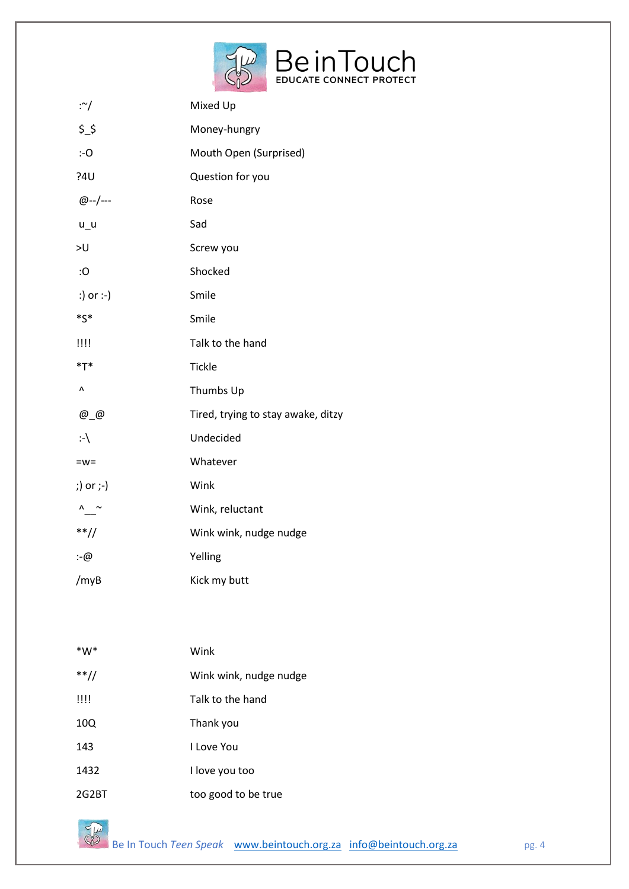

| :∼/               | Mixed Up                           |
|-------------------|------------------------------------|
| \$5,              | Money-hungry                       |
| $: -O$            | Mouth Open (Surprised)             |
| ?4U               | Question for you                   |
| @--/---           | Rose                               |
| $u_u$             | Sad                                |
| >U                | Screw you                          |
| :О                | Shocked                            |
| :) or :-)         | Smile                              |
| $^*S^*$           | Smile                              |
| $^{\text{III}}$   | Talk to the hand                   |
| $*T*$             | Tickle                             |
| Λ                 | Thumbs Up                          |
| $@$ $@$           | Tired, trying to stay awake, ditzy |
| $\cdot \setminus$ | Undecided                          |
| $= w =$           | Whatever                           |
| ;) or ;-)         | Wink                               |
| $\sim$            | Wink, reluctant                    |
| $**/$             | Wink wink, nudge nudge             |
| :-@               | Yelling                            |
| /myB              | Kick my butt                       |

| *W*    | Wink                   |
|--------|------------------------|
| $**//$ | Wink wink, nudge nudge |
| !!!!   | Talk to the hand       |
| 10Q    | Thank you              |
| 143    | I Love You             |
| 1432   | I love you too         |
| 2G2BT  | too good to be true    |

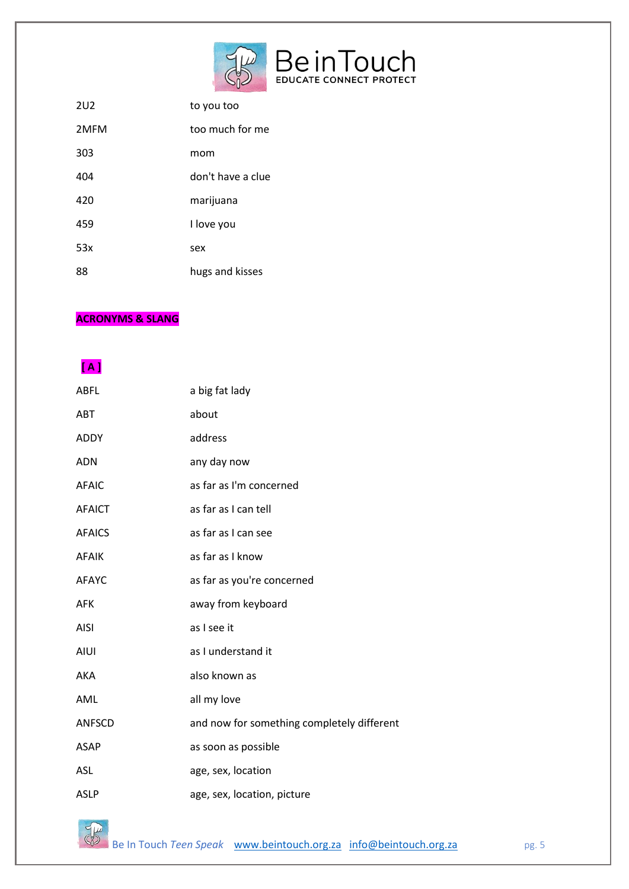

| 2U <sub>2</sub> | to you too        |
|-----------------|-------------------|
| 2MFM            | too much for me   |
| 303             | mom               |
| 404             | don't have a clue |
| 420             | marijuana         |
| 459             | I love you        |
| 53x             | sex               |
| 88              | hugs and kisses   |
|                 |                   |

### **ACRONYMS & SLANG**

## **[ A ]**

| <b>ABFL</b>   | a big fat lady                             |
|---------------|--------------------------------------------|
| ABT           | about                                      |
| ADDY          | address                                    |
| <b>ADN</b>    | any day now                                |
| <b>AFAIC</b>  | as far as I'm concerned                    |
| <b>AFAICT</b> | as far as I can tell                       |
| <b>AFAICS</b> | as far as I can see                        |
| <b>AFAIK</b>  | as far as I know                           |
| <b>AFAYC</b>  | as far as you're concerned                 |
| AFK           | away from keyboard                         |
| <b>AISI</b>   | as I see it                                |
| <b>AIUI</b>   | as I understand it                         |
| AKA           | also known as                              |
| AML           | all my love                                |
| <b>ANFSCD</b> | and now for something completely different |
| <b>ASAP</b>   | as soon as possible                        |
| <b>ASL</b>    | age, sex, location                         |
| <b>ASLP</b>   | age, sex, location, picture                |

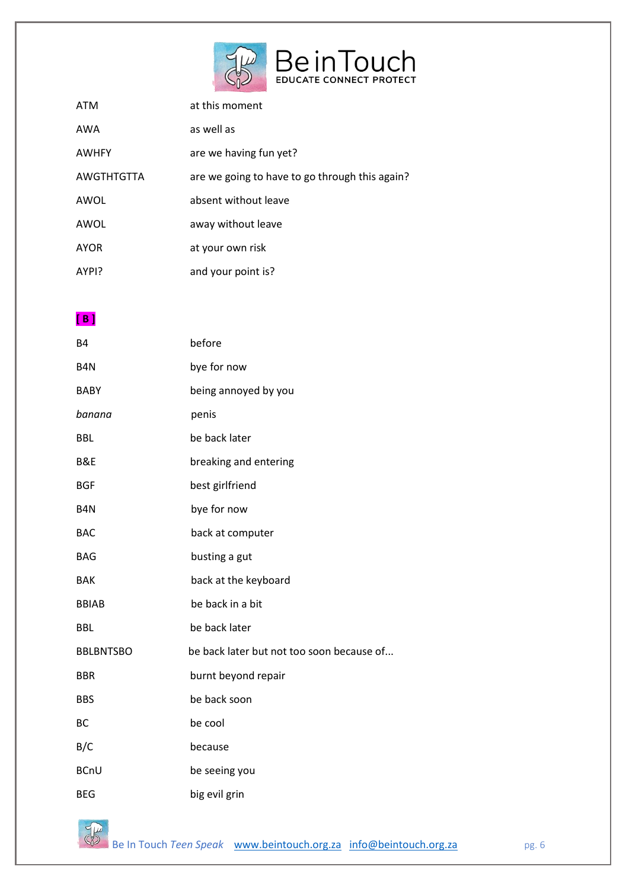

| <b>ATM</b>   | at this moment                                 |
|--------------|------------------------------------------------|
| AWA          | as well as                                     |
| <b>AWHFY</b> | are we having fun yet?                         |
| AWGTHTGTTA   | are we going to have to go through this again? |
| AWOL         | absent without leave                           |
| AWOL         | away without leave                             |
| <b>AYOR</b>  | at your own risk                               |
| AYPI?        | and your point is?                             |

**[ B ]** 

| <b>B4</b>        | before                                    |
|------------------|-------------------------------------------|
| B <sub>4</sub> N | bye for now                               |
| <b>BABY</b>      | being annoyed by you                      |
| banana           | penis                                     |
| <b>BBL</b>       | be back later                             |
| B&E              | breaking and entering                     |
| <b>BGF</b>       | best girlfriend                           |
| B <sub>4</sub> N | bye for now                               |
| <b>BAC</b>       | back at computer                          |
| <b>BAG</b>       | busting a gut                             |
| <b>BAK</b>       | back at the keyboard                      |
| <b>BBIAB</b>     | be back in a bit                          |
| <b>BBL</b>       | be back later                             |
| <b>BBLBNTSBO</b> | be back later but not too soon because of |
| <b>BBR</b>       | burnt beyond repair                       |
| <b>BBS</b>       | be back soon                              |
| <b>BC</b>        | be cool                                   |
| B/C              | because                                   |
| <b>BCnU</b>      | be seeing you                             |
| <b>BEG</b>       | big evil grin                             |

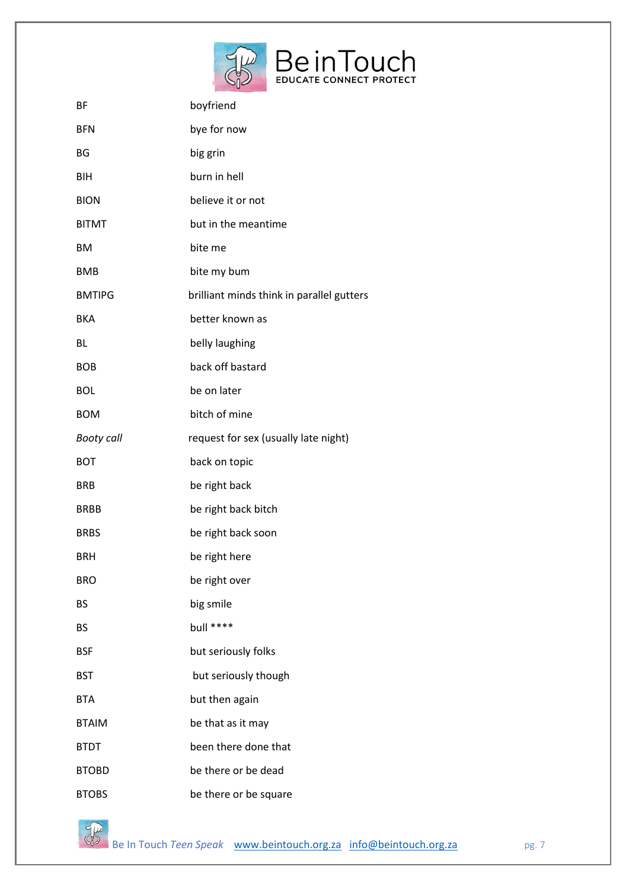

| BF                | boyfriend                                 |
|-------------------|-------------------------------------------|
| <b>BFN</b>        | bye for now                               |
| ΒG                | big grin                                  |
| <b>BIH</b>        | burn in hell                              |
| <b>BION</b>       | believe it or not                         |
| <b>BITMT</b>      | but in the meantime                       |
| BM                | bite me                                   |
| <b>BMB</b>        | bite my bum                               |
| <b>BMTIPG</b>     | brilliant minds think in parallel gutters |
| <b>BKA</b>        | better known as                           |
| BL                | belly laughing                            |
| <b>BOB</b>        | back off bastard                          |
| <b>BOL</b>        | be on later                               |
| <b>BOM</b>        | bitch of mine                             |
| <b>Booty call</b> | request for sex (usually late night)      |
| <b>BOT</b>        | back on topic                             |
| <b>BRB</b>        | be right back                             |
| <b>BRBB</b>       | be right back bitch                       |
| <b>BRBS</b>       | be right back soon                        |
| <b>BRH</b>        | be right here                             |
| <b>BRO</b>        | be right over                             |
| BS                | big smile                                 |
| <b>BS</b>         | bull ****                                 |
| <b>BSF</b>        | but seriously folks                       |
| <b>BST</b>        | but seriously though                      |
| <b>BTA</b>        | but then again                            |
| <b>BTAIM</b>      | be that as it may                         |
| <b>BTDT</b>       | been there done that                      |
| <b>BTOBD</b>      | be there or be dead                       |
| <b>BTOBS</b>      | be there or be square                     |



Be In Touch *Teen Speak* [www.beintouch.org.za](http://www.beintouch.org.za/) [info@beintouch.org.za](mailto:info@beintouch.org.za) pg. 7<br>Be In Touch *Teen Speak* www.beintouch.org.za info@beintouch.org.za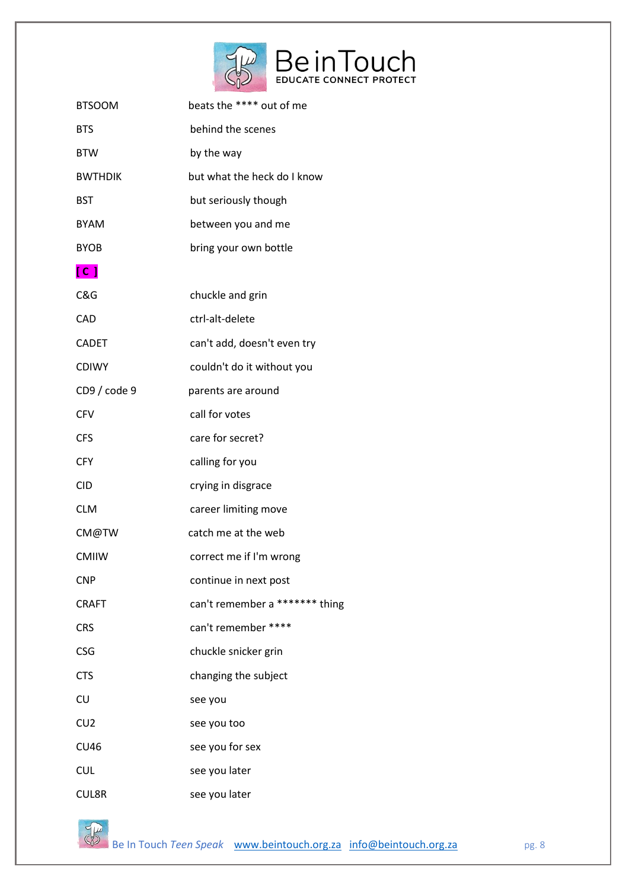

| <b>BTSOOM</b>  | beats the **** out of me       |
|----------------|--------------------------------|
| <b>BTS</b>     | behind the scenes              |
| <b>BTW</b>     | by the way                     |
| <b>BWTHDIK</b> | but what the heck do I know    |
| <b>BST</b>     | but seriously though           |
| <b>BYAM</b>    | between you and me             |
| <b>BYOB</b>    | bring your own bottle          |
| $[$ C $]$      |                                |
| C&G            | chuckle and grin               |
| <b>CAD</b>     | ctrl-alt-delete                |
| <b>CADET</b>   | can't add, doesn't even try    |
| <b>CDIWY</b>   | couldn't do it without you     |
| CD9 / code 9   | parents are around             |
| <b>CFV</b>     | call for votes                 |
| <b>CFS</b>     | care for secret?               |
| <b>CFY</b>     | calling for you                |
| <b>CID</b>     | crying in disgrace             |
| <b>CLM</b>     | career limiting move           |
| CM@TW          | catch me at the web            |
| <b>CMIIW</b>   | correct me if I'm wrong        |
| <b>CNP</b>     | continue in next post          |
| <b>CRAFT</b>   | can't remember a ******* thing |
| <b>CRS</b>     | can't remember ****            |
| <b>CSG</b>     | chuckle snicker grin           |
| <b>CTS</b>     | changing the subject           |
| CU             | see you                        |
| CU2            | see you too                    |
| <b>CU46</b>    | see you for sex                |
| <b>CUL</b>     | see you later                  |
| <b>CUL8R</b>   | see you later                  |

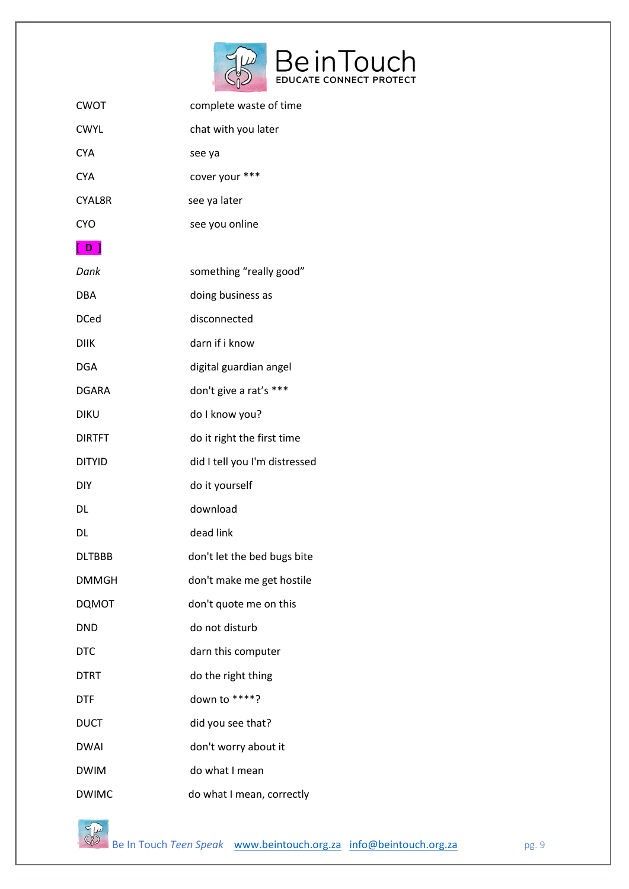

| <b>CWOT</b>   | complete waste of time        |
|---------------|-------------------------------|
| <b>CWYL</b>   | chat with you later           |
| <b>CYA</b>    | see ya                        |
|               |                               |
| <b>CYA</b>    | cover your ***                |
| <b>CYAL8R</b> | see ya later                  |
| <b>CYO</b>    | see you online                |
| [ D ]         |                               |
| Dank          | something "really good"       |
| DBA           | doing business as             |
| <b>DCed</b>   | disconnected                  |
| <b>DIIK</b>   | darn if i know                |
| <b>DGA</b>    | digital guardian angel        |
| <b>DGARA</b>  | don't give a rat's ***        |
| <b>DIKU</b>   | do I know you?                |
| <b>DIRTFT</b> | do it right the first time    |
| <b>DITYID</b> | did I tell you I'm distressed |
| DIY           | do it yourself                |
| DL            | download                      |
| DL            | dead link                     |
| <b>DLTBBB</b> | don't let the bed bugs bite   |
| <b>DMMGH</b>  | don't make me get hostile     |
| <b>DQMOT</b>  | don't quote me on this        |
| <b>DND</b>    | do not disturb                |
| <b>DTC</b>    | darn this computer            |
| <b>DTRT</b>   | do the right thing            |
| <b>DTF</b>    | down to ****?                 |
| <b>DUCT</b>   | did you see that?             |
| <b>DWAI</b>   | don't worry about it          |
| <b>DWIM</b>   | do what I mean                |
| <b>DWIMC</b>  | do what I mean, correctly     |



Be In Touch *Teen Speak* [www.beintouch.org.za](http://www.beintouch.org.za/) [info@beintouch.org.za](mailto:info@beintouch.org.za) pg. 9 pg. 9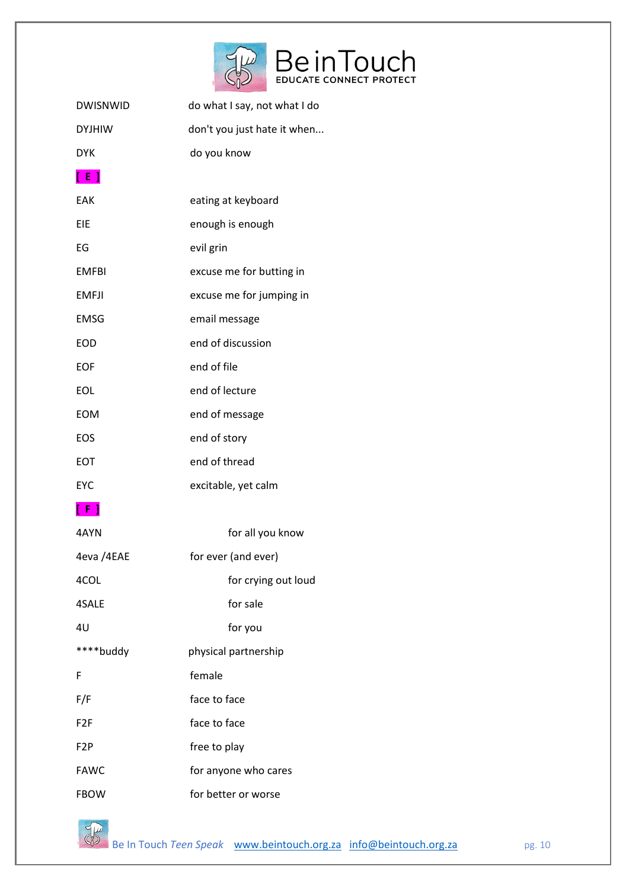

| <b>DWISNWID</b>  | do what I say, not what I do |
|------------------|------------------------------|
| <b>DYJHIW</b>    | don't you just hate it when  |
| <b>DYK</b>       | do you know                  |
| [ E ]            |                              |
| EAK              | eating at keyboard           |
| EIE              | enough is enough             |
| EG               | evil grin                    |
| <b>EMFBI</b>     | excuse me for butting in     |
| <b>EMFJI</b>     | excuse me for jumping in     |
| <b>EMSG</b>      | email message                |
| <b>EOD</b>       | end of discussion            |
| <b>EOF</b>       | end of file                  |
| <b>EOL</b>       | end of lecture               |
| <b>EOM</b>       | end of message               |
| EOS              | end of story                 |
| EOT              | end of thread                |
| EYC              | excitable, yet calm          |
| [ F ]            |                              |
| 4AYN             | for all you know             |
| 4eva /4EAE       | for ever (and ever)          |
| 4COL             | for crying out loud          |
| 4SALE            | for sale                     |
| 4U               | for you                      |
| ****buddy        | physical partnership         |
| F                | female                       |
| F/F              | face to face                 |
| F <sub>2F</sub>  | face to face                 |
| F <sub>2</sub> P | free to play                 |
| <b>FAWC</b>      | for anyone who cares         |
| <b>FBOW</b>      | for better or worse          |

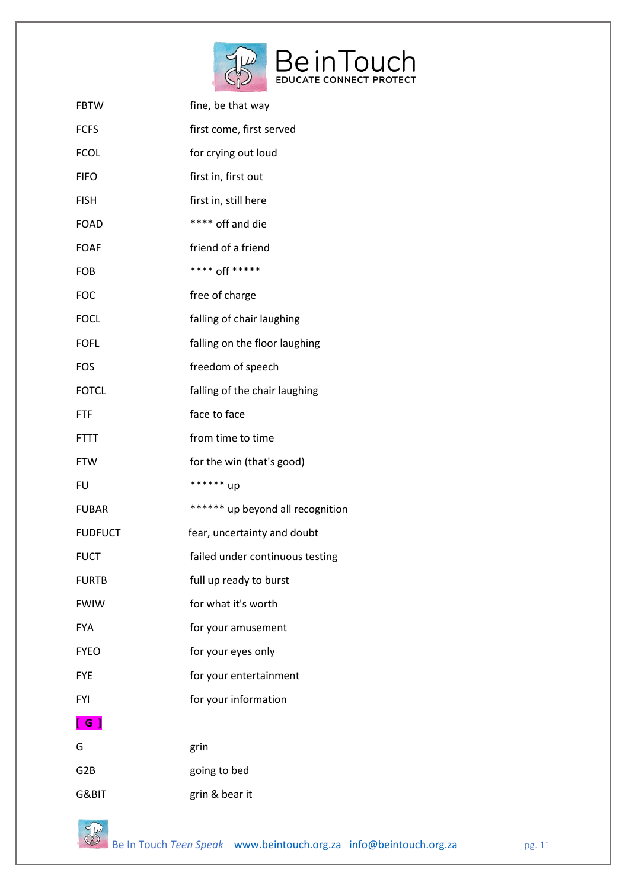

| <b>FBTW</b>              | fine, be that way                |
|--------------------------|----------------------------------|
| <b>FCFS</b>              | first come, first served         |
| <b>FCOL</b>              | for crying out loud              |
| <b>FIFO</b>              | first in, first out              |
| <b>FISH</b>              | first in, still here             |
| <b>FOAD</b>              | **** off and die                 |
| <b>FOAF</b>              | friend of a friend               |
| <b>FOB</b>               | **** off *****                   |
| <b>FOC</b>               | free of charge                   |
| <b>FOCL</b>              | falling of chair laughing        |
| <b>FOFL</b>              | falling on the floor laughing    |
| <b>FOS</b>               | freedom of speech                |
| <b>FOTCL</b>             | falling of the chair laughing    |
| <b>FTF</b>               | face to face                     |
| <b>FTTT</b>              | from time to time                |
| <b>FTW</b>               | for the win (that's good)        |
| FU                       | ****** up                        |
| <b>FUBAR</b>             | ****** up beyond all recognition |
| <b>FUDFUCT</b>           | fear, uncertainty and doubt      |
| <b>FUCT</b>              | failed under continuous testing  |
| <b>FURTB</b>             | full up ready to burst           |
| <b>FWIW</b>              | for what it's worth              |
| <b>FYA</b>               | for your amusement               |
| <b>FYEO</b>              | for your eyes only               |
| <b>FYE</b>               | for your entertainment           |
| <b>FYI</b>               | for your information             |
| $\overline{\phantom{a}}$ |                                  |
| G                        | grin                             |
| G <sub>2</sub> B         | going to bed                     |
| G&BIT                    | grin & bear it                   |

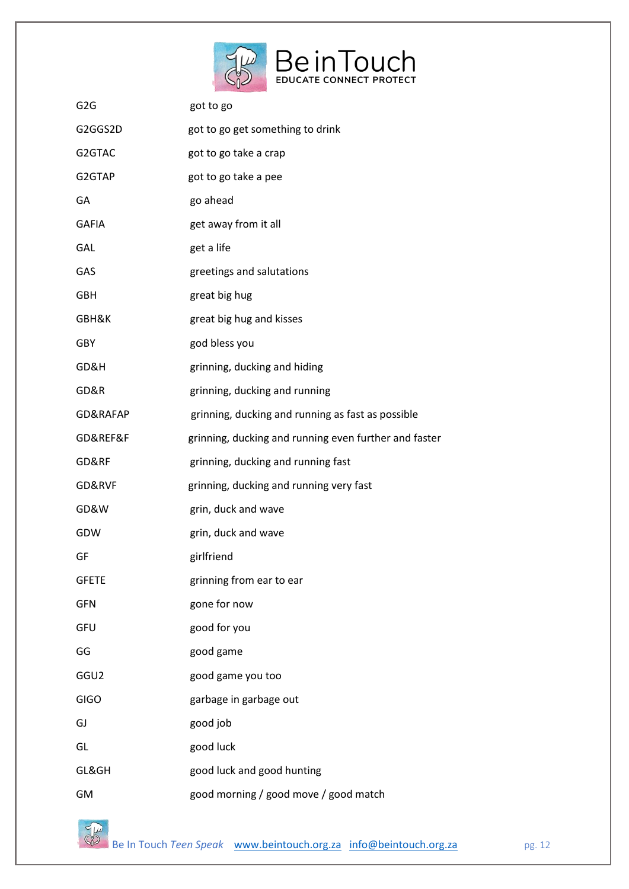

| G <sub>2</sub> G | got to go                                             |
|------------------|-------------------------------------------------------|
| G2GGS2D          | got to go get something to drink                      |
| G2GTAC           | got to go take a crap                                 |
| G2GTAP           | got to go take a pee                                  |
| GA               | go ahead                                              |
| <b>GAFIA</b>     | get away from it all                                  |
| GAL              | get a life                                            |
| GAS              | greetings and salutations                             |
| <b>GBH</b>       | great big hug                                         |
| GBH&K            | great big hug and kisses                              |
| GBY              | god bless you                                         |
| GD&H             | grinning, ducking and hiding                          |
| GD&R             | grinning, ducking and running                         |
| GD&RAFAP         | grinning, ducking and running as fast as possible     |
| GD&REF&F         | grinning, ducking and running even further and faster |
| GD&RF            | grinning, ducking and running fast                    |
| GD&RVF           | grinning, ducking and running very fast               |
| GD&W             | grin, duck and wave                                   |
| GDW              | grin, duck and wave                                   |
| GF               | girlfriend                                            |
| <b>GFETE</b>     | grinning from ear to ear                              |
| <b>GFN</b>       | gone for now                                          |
| GFU              | good for you                                          |
| GG               | good game                                             |
| GGU <sub>2</sub> | good game you too                                     |
| <b>GIGO</b>      | garbage in garbage out                                |
| GJ               | good job                                              |
| GL               | good luck                                             |
| GL&GH            | good luck and good hunting                            |
| GM               | good morning / good move / good match                 |

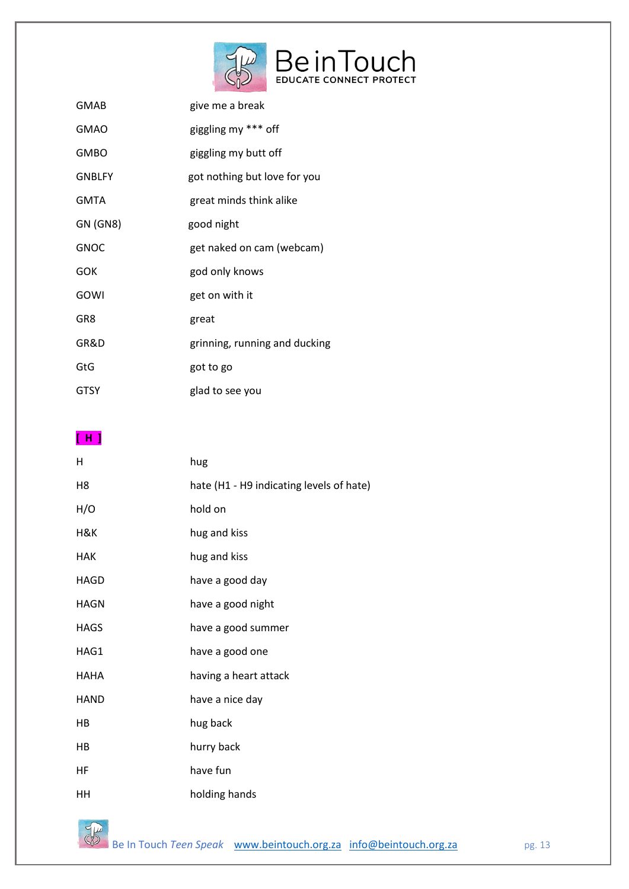

| GMAB            | give me a break               |
|-----------------|-------------------------------|
| <b>GMAO</b>     | giggling my *** off           |
| <b>GMBO</b>     | giggling my butt off          |
| <b>GNBLFY</b>   | got nothing but love for you  |
| <b>GMTA</b>     | great minds think alike       |
| <b>GN (GN8)</b> | good night                    |
| <b>GNOC</b>     | get naked on cam (webcam)     |
| GOK             | god only knows                |
| GOWI            | get on with it                |
| GR8             | great                         |
| GR&D            | grinning, running and ducking |
| GtG             | got to go                     |
| <b>GTSY</b>     | glad to see you               |

**[ H ]** 

| н           | hug                                      |
|-------------|------------------------------------------|
| H8          | hate (H1 - H9 indicating levels of hate) |
| H/O         | hold on                                  |
| H&K         | hug and kiss                             |
| <b>HAK</b>  | hug and kiss                             |
| <b>HAGD</b> | have a good day                          |
| <b>HAGN</b> | have a good night                        |
| <b>HAGS</b> | have a good summer                       |
| HAG1        | have a good one                          |
| HAHA        | having a heart attack                    |
| <b>HAND</b> | have a nice day                          |
| HВ          | hug back                                 |
| HВ          | hurry back                               |
| HF          | have fun                                 |
| HН          | holding hands                            |

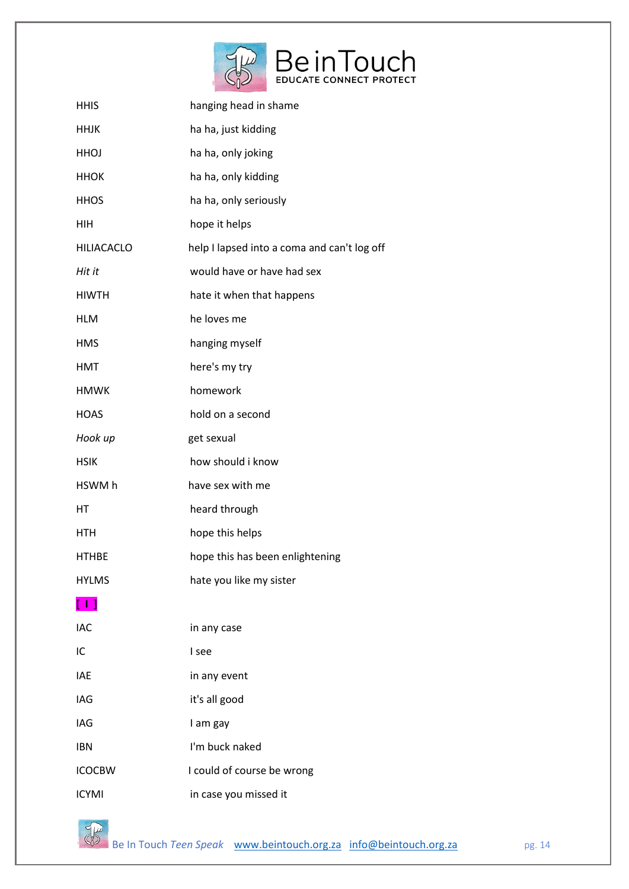

| <b>HHIS</b>                           | hanging head in shame                       |
|---------------------------------------|---------------------------------------------|
| <b>HHJK</b>                           | ha ha, just kidding                         |
| HHOJ                                  | ha ha, only joking                          |
| <b>HHOK</b>                           | ha ha, only kidding                         |
| <b>HHOS</b>                           | ha ha, only seriously                       |
| HIH                                   | hope it helps                               |
| <b>HILIACACLO</b>                     | help I lapsed into a coma and can't log off |
| Hit it                                | would have or have had sex                  |
| <b>HIWTH</b>                          | hate it when that happens                   |
| <b>HLM</b>                            | he loves me                                 |
| <b>HMS</b>                            | hanging myself                              |
| <b>HMT</b>                            | here's my try                               |
| <b>HMWK</b>                           | homework                                    |
| <b>HOAS</b>                           | hold on a second                            |
| Hook up                               | get sexual                                  |
| <b>HSIK</b>                           | how should i know                           |
| HSWM h                                | have sex with me                            |
|                                       |                                             |
| HT                                    | heard through                               |
| HTH                                   | hope this helps                             |
| <b>HTHBE</b>                          | hope this has been enlightening             |
| <b>HYLMS</b>                          | hate you like my sister                     |
| $\begin{bmatrix} 1 & 1 \end{bmatrix}$ |                                             |
| <b>IAC</b>                            | in any case                                 |
| IC                                    | I see                                       |
| <b>IAE</b>                            | in any event                                |
| IAG                                   | it's all good                               |
| IAG                                   | I am gay                                    |
| <b>IBN</b>                            | I'm buck naked                              |
| <b>ICOCBW</b>                         | I could of course be wrong                  |

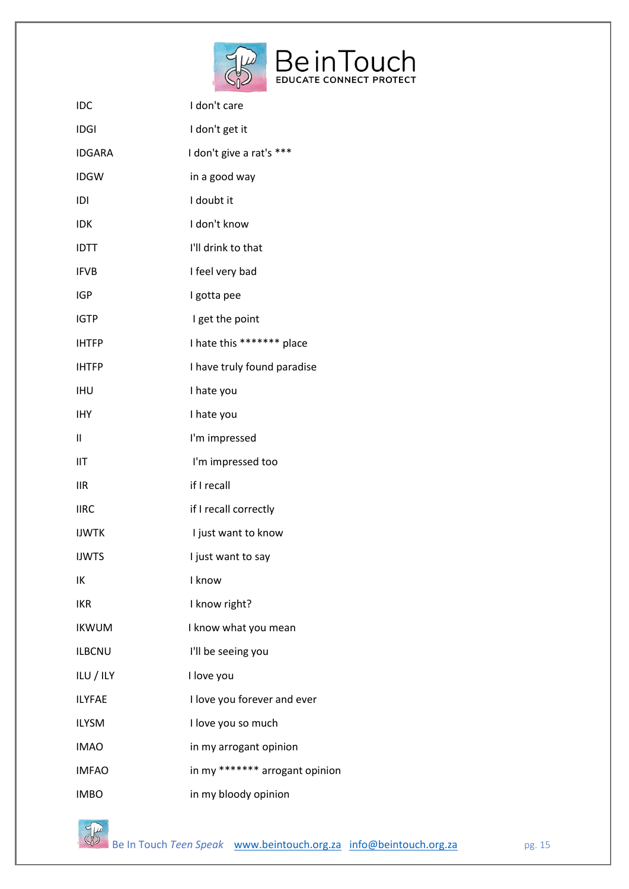

| IDC           | I don't care                   |
|---------------|--------------------------------|
| <b>IDGI</b>   | I don't get it                 |
| <b>IDGARA</b> | I don't give a rat's ***       |
| <b>IDGW</b>   | in a good way                  |
| IDI           | I doubt it                     |
| <b>IDK</b>    | I don't know                   |
| <b>IDTT</b>   | I'll drink to that             |
| <b>IFVB</b>   | I feel very bad                |
| <b>IGP</b>    | I gotta pee                    |
| <b>IGTP</b>   | I get the point                |
| <b>IHTFP</b>  | I hate this ******* place      |
| <b>IHTFP</b>  | I have truly found paradise    |
| <b>IHU</b>    | I hate you                     |
| IHY           | I hate you                     |
| $\mathbf{II}$ | I'm impressed                  |
| IIT           | I'm impressed too              |
| <b>IIR</b>    | if I recall                    |
| <b>IIRC</b>   | if I recall correctly          |
| <b>IJWTK</b>  | I just want to know            |
| <b>IJWTS</b>  | I just want to say             |
| IK            | I know                         |
| <b>IKR</b>    | I know right?                  |
| <b>IKWUM</b>  | I know what you mean           |
| <b>ILBCNU</b> | I'll be seeing you             |
| ILU / ILY     | I love you                     |
| <b>ILYFAE</b> | I love you forever and ever    |
| <b>ILYSM</b>  | I love you so much             |
| <b>IMAO</b>   | in my arrogant opinion         |
| <b>IMFAO</b>  | in my ******* arrogant opinion |
| <b>IMBO</b>   | in my bloody opinion           |

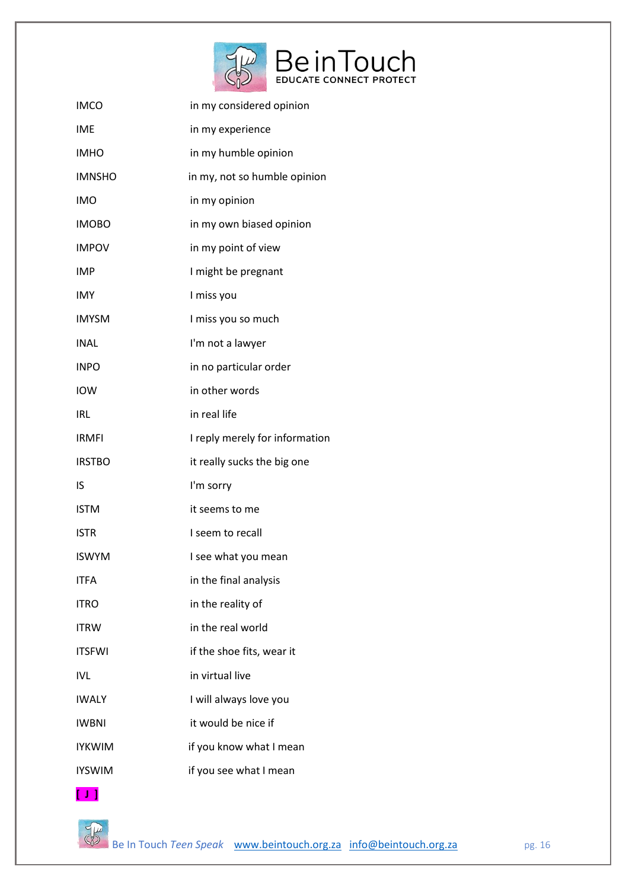

| <b>IMCO</b>   | in my considered opinion       |
|---------------|--------------------------------|
| <b>IME</b>    | in my experience               |
| <b>IMHO</b>   | in my humble opinion           |
| <b>IMNSHO</b> | in my, not so humble opinion   |
| <b>IMO</b>    | in my opinion                  |
| <b>IMOBO</b>  | in my own biased opinion       |
| <b>IMPOV</b>  | in my point of view            |
| <b>IMP</b>    | I might be pregnant            |
| <b>IMY</b>    | I miss you                     |
| <b>IMYSM</b>  | I miss you so much             |
| <b>INAL</b>   | I'm not a lawyer               |
| <b>INPO</b>   | in no particular order         |
| <b>IOW</b>    | in other words                 |
| <b>IRL</b>    | in real life                   |
| <b>IRMFI</b>  | I reply merely for information |
| <b>IRSTBO</b> | it really sucks the big one    |
| IS            | I'm sorry                      |
| <b>ISTM</b>   | it seems to me                 |
| <b>ISTR</b>   | I seem to recall               |
| <b>ISWYM</b>  | I see what you mean            |
| <b>ITFA</b>   | in the final analysis          |
| <b>ITRO</b>   | in the reality of              |
| ITRW          | in the real world              |
| <b>ITSFWI</b> | if the shoe fits, wear it      |
| <b>IVL</b>    | in virtual live                |
| <b>IWALY</b>  | I will always love you         |
| <b>IWBNI</b>  | it would be nice if            |
| <b>IYKWIM</b> | if you know what I mean        |
| <b>IYSWIM</b> | if you see what I mean         |

**[ J ]** 

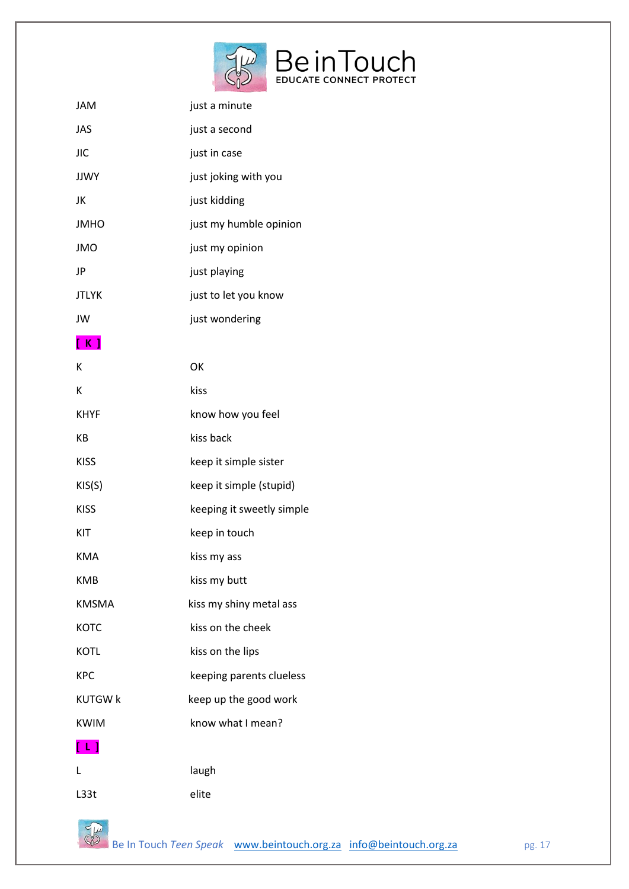

| JAM                     | just a minute             |
|-------------------------|---------------------------|
| <b>JAS</b>              | just a second             |
| <b>JIC</b>              | just in case              |
| <b>JJWY</b>             | just joking with you      |
| JK                      | just kidding              |
| <b>JMHO</b>             | just my humble opinion    |
| <b>JMO</b>              | just my opinion           |
| JP                      | just playing              |
| <b>JTLYK</b>            | just to let you know      |
| JW                      | just wondering            |
| [ K ]                   |                           |
| К                       | OK                        |
| К                       | kiss                      |
| <b>KHYF</b>             | know how you feel         |
| KB                      | kiss back                 |
| <b>KISS</b>             | keep it simple sister     |
| KIS(S)                  | keep it simple (stupid)   |
| <b>KISS</b>             | keeping it sweetly simple |
| KIT                     | keep in touch             |
| <b>KMA</b>              | kiss my ass               |
| <b>KMB</b>              | kiss my butt              |
| <b>KMSMA</b>            | kiss my shiny metal ass   |
| <b>KOTC</b>             | kiss on the cheek         |
| <b>KOTL</b>             | kiss on the lips          |
| <b>KPC</b>              | keeping parents clueless  |
| <b>KUTGW k</b>          | keep up the good work     |
| <b>KWIM</b>             | know what I mean?         |
| $\lfloor \perp \rfloor$ |                           |
| L                       | laugh                     |
| L33t                    | elite                     |

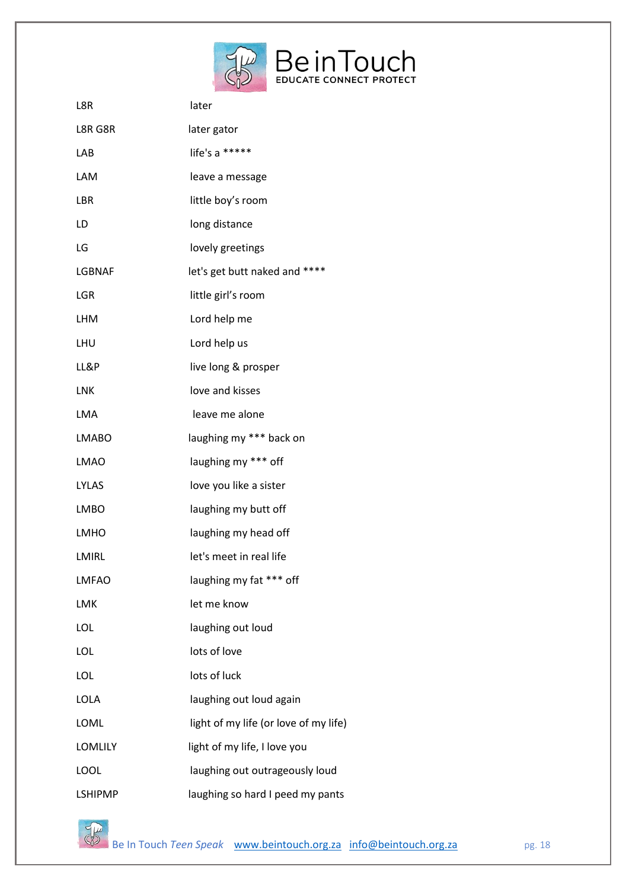

| L8R            | later                                 |
|----------------|---------------------------------------|
| L8R G8R        | later gator                           |
| LAB            | life's a *****                        |
| LAM            | leave a message                       |
| LBR            | little boy's room                     |
| LD             | long distance                         |
| LG             | lovely greetings                      |
| LGBNAF         | let's get butt naked and ****         |
| LGR            | little girl's room                    |
| <b>LHM</b>     | Lord help me                          |
| LHU            | Lord help us                          |
| LL&P           | live long & prosper                   |
| <b>LNK</b>     | love and kisses                       |
| <b>LMA</b>     | leave me alone                        |
| <b>LMABO</b>   | laughing my *** back on               |
| <b>LMAO</b>    | laughing my *** off                   |
| <b>LYLAS</b>   | love you like a sister                |
| <b>LMBO</b>    | laughing my butt off                  |
| <b>LMHO</b>    | laughing my head off                  |
| <b>LMIRL</b>   | let's meet in real life               |
| <b>LMFAO</b>   | laughing my fat *** off               |
| LMK            | let me know                           |
| LOL            | laughing out loud                     |
| LOL            | lots of love                          |
| LOL            | lots of luck                          |
| <b>LOLA</b>    | laughing out loud again               |
| LOML           | light of my life (or love of my life) |
| <b>LOMLILY</b> | light of my life, I love you          |
| LOOL           | laughing out outrageously loud        |
| <b>LSHIPMP</b> | laughing so hard I peed my pants      |

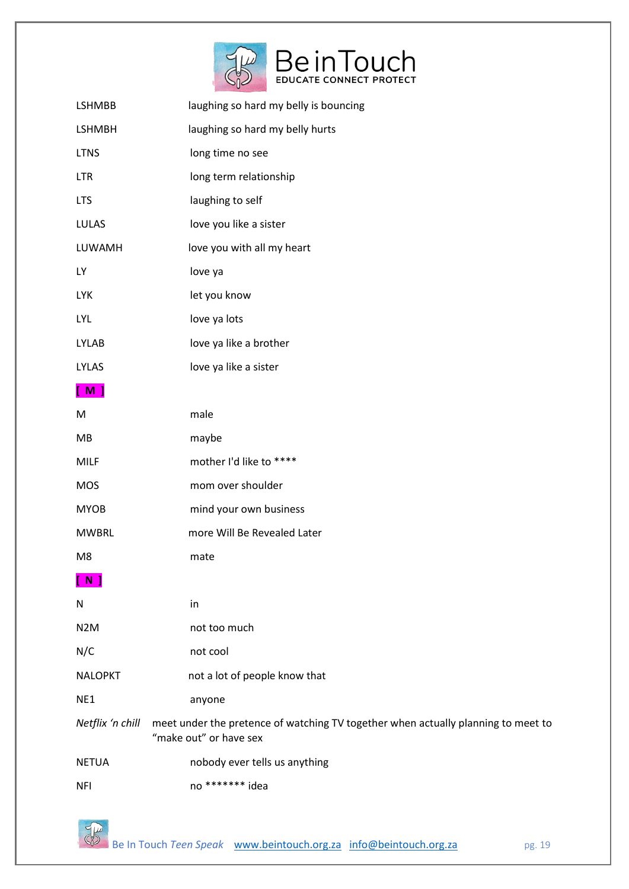

| LSHMBB           | laughing so hard my belly is bouncing                                                                       |
|------------------|-------------------------------------------------------------------------------------------------------------|
| <b>LSHMBH</b>    | laughing so hard my belly hurts                                                                             |
| <b>LTNS</b>      | long time no see                                                                                            |
| <b>LTR</b>       | long term relationship                                                                                      |
| <b>LTS</b>       | laughing to self                                                                                            |
| <b>LULAS</b>     | love you like a sister                                                                                      |
| LUWAMH           | love you with all my heart                                                                                  |
| <b>LY</b>        | love ya                                                                                                     |
| <b>LYK</b>       | let you know                                                                                                |
| <b>LYL</b>       | love ya lots                                                                                                |
| <b>LYLAB</b>     | love ya like a brother                                                                                      |
| <b>LYLAS</b>     | love ya like a sister                                                                                       |
| [M]              |                                                                                                             |
| M                | male                                                                                                        |
| MB               | maybe                                                                                                       |
| <b>MILF</b>      | mother I'd like to ****                                                                                     |
| <b>MOS</b>       | mom over shoulder                                                                                           |
| <b>MYOB</b>      | mind your own business                                                                                      |
| <b>MWBRL</b>     | more Will Be Revealed Later                                                                                 |
| M8               | mate                                                                                                        |
| $N$ ]            |                                                                                                             |
| N                | in                                                                                                          |
| N <sub>2</sub> M | not too much                                                                                                |
| N/C              | not cool                                                                                                    |
| <b>NALOPKT</b>   | not a lot of people know that                                                                               |
| NE1              | anyone                                                                                                      |
| Netflix 'n chill | meet under the pretence of watching TV together when actually planning to meet to<br>"make out" or have sex |
| <b>NETUA</b>     | nobody ever tells us anything                                                                               |
| <b>NFI</b>       | no ******* idea                                                                                             |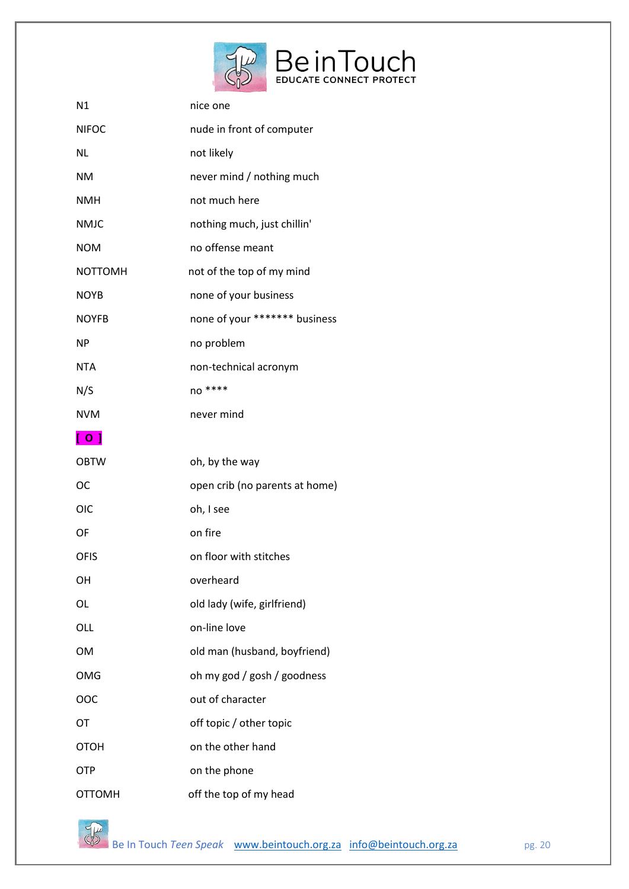

| N1             | nice one                       |
|----------------|--------------------------------|
| <b>NIFOC</b>   | nude in front of computer      |
| <b>NL</b>      | not likely                     |
| <b>NM</b>      | never mind / nothing much      |
| <b>NMH</b>     | not much here                  |
| <b>NMJC</b>    | nothing much, just chillin'    |
| <b>NOM</b>     | no offense meant               |
| <b>NOTTOMH</b> | not of the top of my mind      |
| <b>NOYB</b>    | none of your business          |
| <b>NOYFB</b>   | none of your ******* business  |
| <b>NP</b>      | no problem                     |
| <b>NTA</b>     | non-technical acronym          |
| N/S            | no ****                        |
| <b>NVM</b>     | never mind                     |
| [ 0 ]          |                                |
|                |                                |
| <b>OBTW</b>    | oh, by the way                 |
| <b>OC</b>      | open crib (no parents at home) |
| <b>OIC</b>     | oh, I see                      |
| OF             | on fire                        |
| <b>OFIS</b>    | on floor with stitches         |
| OH             | overheard                      |
| OL             | old lady (wife, girlfriend)    |
| OLL            | on-line love                   |
| <b>OM</b>      | old man (husband, boyfriend)   |
| <b>OMG</b>     | oh my god / gosh / goodness    |
| OOC            | out of character               |
| OT             | off topic / other topic        |
| <b>OTOH</b>    | on the other hand              |
| OTP            | on the phone                   |

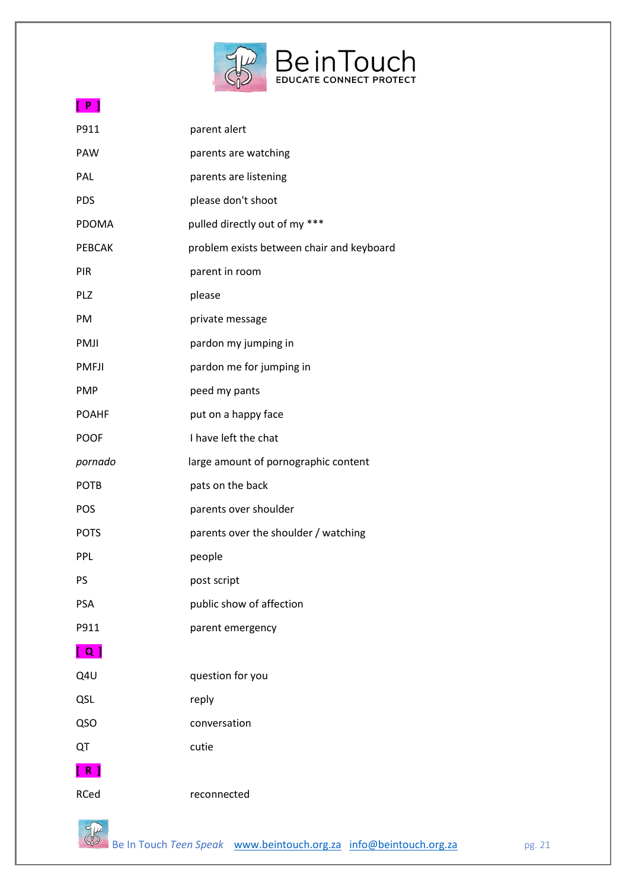

# **[ P ]**

| P911         | parent alert                              |
|--------------|-------------------------------------------|
| PAW          | parents are watching                      |
| PAL          | parents are listening                     |
| <b>PDS</b>   | please don't shoot                        |
| PDOMA        | pulled directly out of my ***             |
| PEBCAK       | problem exists between chair and keyboard |
| PIR          | parent in room                            |
| PLZ          | please                                    |
| PM           | private message                           |
| PMJI         | pardon my jumping in                      |
| <b>PMFJI</b> | pardon me for jumping in                  |
| <b>PMP</b>   | peed my pants                             |
| <b>POAHF</b> | put on a happy face                       |
| <b>POOF</b>  | I have left the chat                      |
| pornado      | large amount of pornographic content      |
| <b>POTB</b>  | pats on the back                          |
| POS          | parents over shoulder                     |
| <b>POTS</b>  | parents over the shoulder / watching      |
| PPL          | people                                    |
| PS           | post script                               |
| <b>PSA</b>   | public show of affection                  |
| P911         | parent emergency                          |
| [ Q ]        |                                           |
| Q4U          | question for you                          |
| QSL          | reply                                     |
| QSO          | conversation                              |
| QT           | cutie                                     |
| [ R ]        |                                           |
| RCed         | reconnected                               |
|              |                                           |

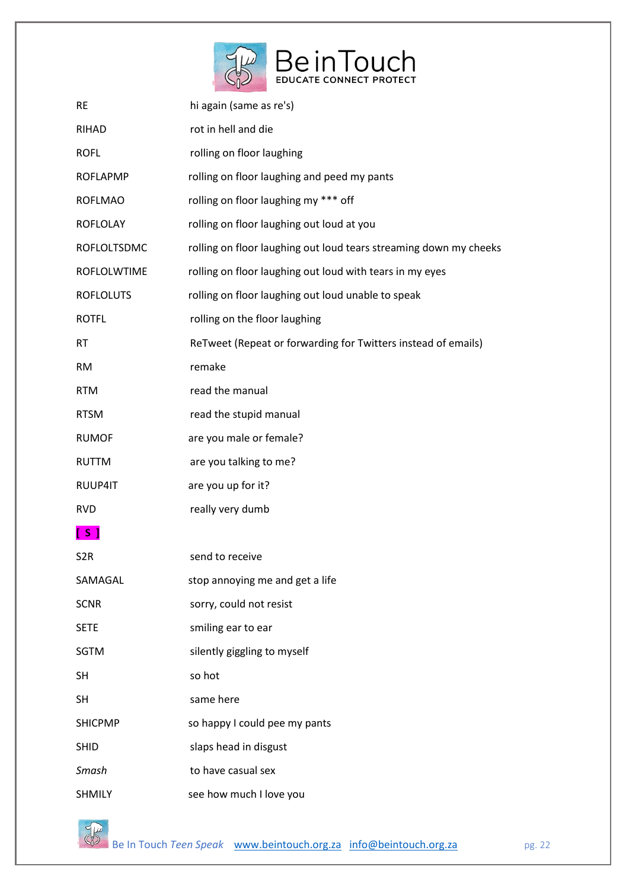

| <b>RE</b>        | hi again (same as re's)                                           |
|------------------|-------------------------------------------------------------------|
| RIHAD            | rot in hell and die                                               |
| <b>ROFL</b>      | rolling on floor laughing                                         |
| <b>ROFLAPMP</b>  | rolling on floor laughing and peed my pants                       |
| <b>ROFLMAO</b>   | rolling on floor laughing my *** off                              |
| <b>ROFLOLAY</b>  | rolling on floor laughing out loud at you                         |
| ROFLOLTSDMC      | rolling on floor laughing out loud tears streaming down my cheeks |
| ROFLOLWTIME      | rolling on floor laughing out loud with tears in my eyes          |
| <b>ROFLOLUTS</b> | rolling on floor laughing out loud unable to speak                |
| <b>ROTFL</b>     | rolling on the floor laughing                                     |
| <b>RT</b>        | ReTweet (Repeat or forwarding for Twitters instead of emails)     |
| <b>RM</b>        | remake                                                            |
| <b>RTM</b>       | read the manual                                                   |
| <b>RTSM</b>      | read the stupid manual                                            |
| <b>RUMOF</b>     | are you male or female?                                           |
| <b>RUTTM</b>     | are you talking to me?                                            |
| RUUP4IT          | are you up for it?                                                |
| <b>RVD</b>       | really very dumb                                                  |
| [S]              |                                                                   |
| S <sub>2</sub> R | send to receive                                                   |
| SAMAGAL          | stop annoying me and get a life                                   |
| <b>SCNR</b>      | sorry, could not resist                                           |
| <b>SETE</b>      | smiling ear to ear                                                |
| <b>SGTM</b>      | silently giggling to myself                                       |
| <b>SH</b>        | so hot                                                            |
| <b>SH</b>        | same here                                                         |
| <b>SHICPMP</b>   | so happy I could pee my pants                                     |
| <b>SHID</b>      | slaps head in disgust                                             |
| Smash            | to have casual sex                                                |
| <b>SHMILY</b>    | see how much I love you                                           |

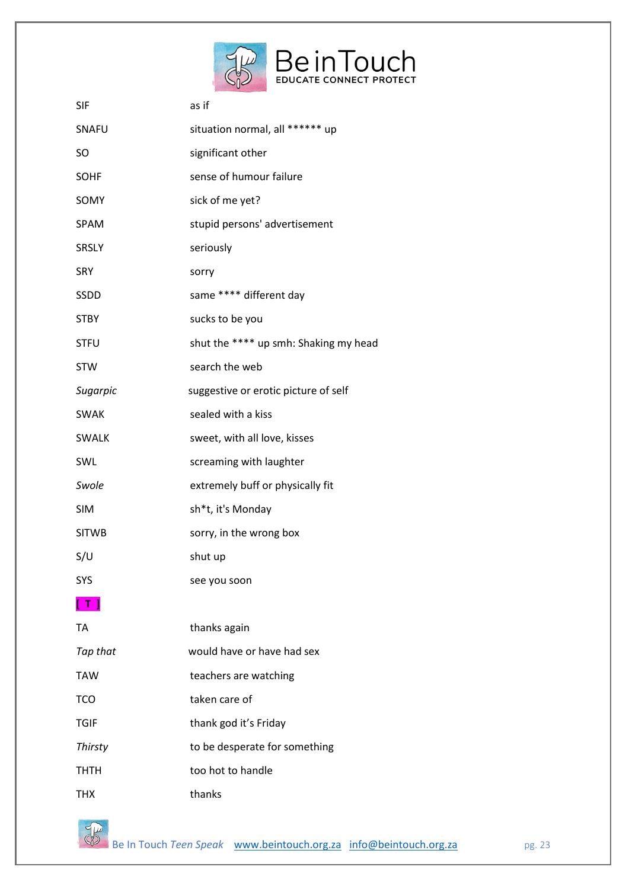

| <b>SIF</b>        | as if                                 |  |
|-------------------|---------------------------------------|--|
| SNAFU             | situation normal, all ****** up       |  |
| <b>SO</b>         | significant other                     |  |
| <b>SOHF</b>       | sense of humour failure               |  |
| SOMY              | sick of me yet?                       |  |
| <b>SPAM</b>       | stupid persons' advertisement         |  |
| <b>SRSLY</b>      | seriously                             |  |
| <b>SRY</b>        | sorry                                 |  |
| <b>SSDD</b>       | same **** different day               |  |
| <b>STBY</b>       | sucks to be you                       |  |
| <b>STFU</b>       | shut the **** up smh: Shaking my head |  |
| <b>STW</b>        | search the web                        |  |
| Sugarpic          | suggestive or erotic picture of self  |  |
| <b>SWAK</b>       | sealed with a kiss                    |  |
| <b>SWALK</b>      | sweet, with all love, kisses          |  |
| SWL               | screaming with laughter               |  |
| Swole             | extremely buff or physically fit      |  |
| <b>SIM</b>        | sh*t, it's Monday                     |  |
| <b>SITWB</b>      | sorry, in the wrong box               |  |
| S/U               | shut up                               |  |
| <b>SYS</b>        | see you soon                          |  |
| $\lceil T \rceil$ |                                       |  |
| <b>TA</b>         | thanks again                          |  |
| Tap that          | would have or have had sex            |  |
| <b>TAW</b>        | teachers are watching                 |  |
| <b>TCO</b>        | taken care of                         |  |
| <b>TGIF</b>       | thank god it's Friday                 |  |
| <b>Thirsty</b>    | to be desperate for something         |  |
| тнтн              | too hot to handle                     |  |
| THX               | thanks                                |  |

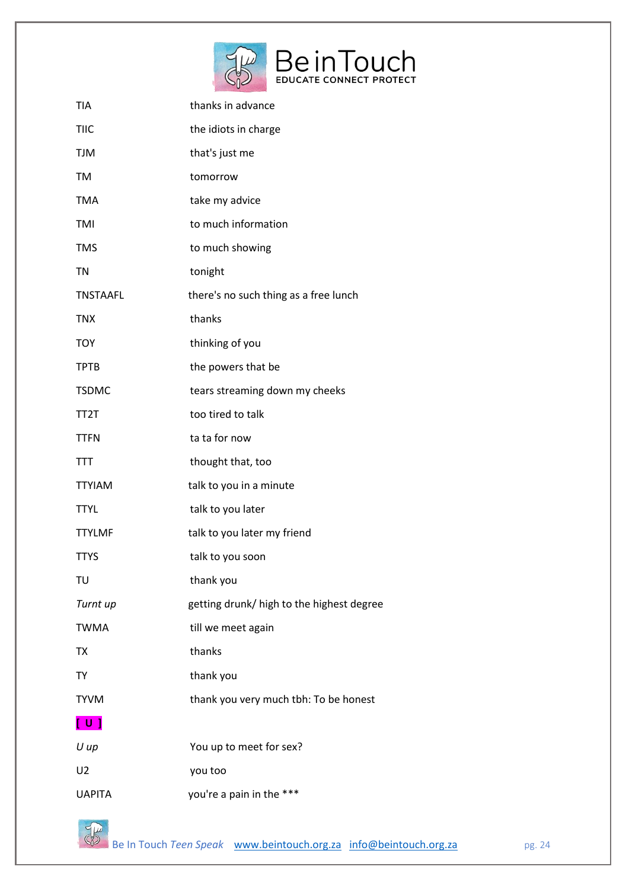

| <b>TIA</b>        | thanks in advance                         |
|-------------------|-------------------------------------------|
| <b>TIIC</b>       | the idiots in charge                      |
| <b>TJM</b>        | that's just me                            |
| <b>TM</b>         | tomorrow                                  |
| <b>TMA</b>        | take my advice                            |
| TMI               | to much information                       |
| <b>TMS</b>        | to much showing                           |
| <b>TN</b>         | tonight                                   |
| <b>TNSTAAFL</b>   | there's no such thing as a free lunch     |
| <b>TNX</b>        | thanks                                    |
| <b>TOY</b>        | thinking of you                           |
| <b>TPTB</b>       | the powers that be                        |
| <b>TSDMC</b>      | tears streaming down my cheeks            |
| TT <sub>2</sub> T | too tired to talk                         |
| <b>TTFN</b>       | ta ta for now                             |
| TTT               | thought that, too                         |
| <b>TTYIAM</b>     | talk to you in a minute                   |
| <b>TTYL</b>       | talk to you later                         |
| <b>TTYLMF</b>     | talk to you later my friend               |
| <b>TTYS</b>       | talk to you soon                          |
| TU                | thank you                                 |
| Turnt up          | getting drunk/ high to the highest degree |
| <b>TWMA</b>       | till we meet again                        |
| ТX                | thanks                                    |
| TY                | thank you                                 |
| <b>TYVM</b>       | thank you very much tbh: To be honest     |
| [ U ]             |                                           |
| $U$ up            | You up to meet for sex?                   |
| U <sub>2</sub>    | you too                                   |
| <b>UAPITA</b>     | you're a pain in the ***                  |

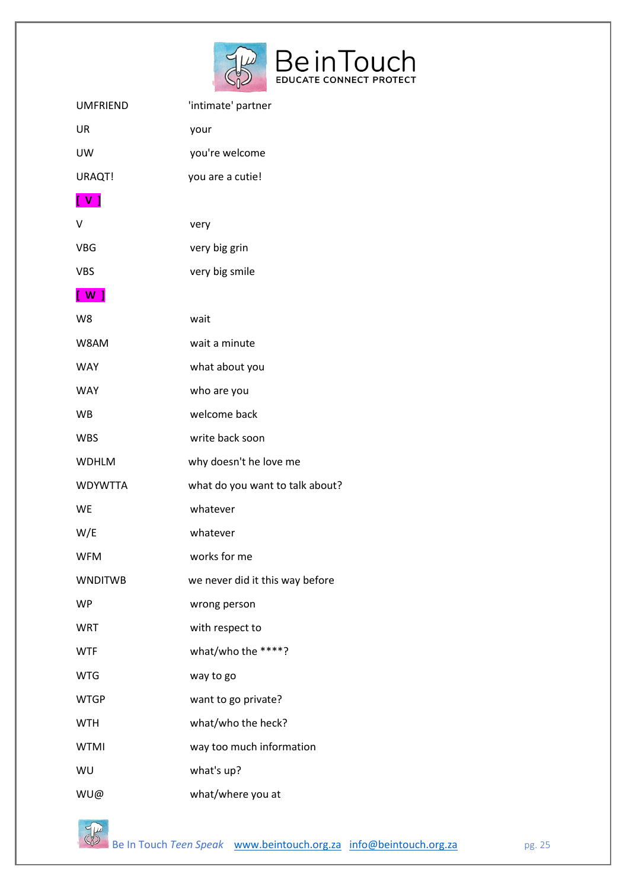

| <b>UMFRIEND</b> | 'intimate' partner              |
|-----------------|---------------------------------|
| UR              | your                            |
| UW              | you're welcome                  |
| URAQT!          | you are a cutie!                |
| $\sqrt{1}$      |                                 |
| v               | very                            |
| <b>VBG</b>      | very big grin                   |
| <b>VBS</b>      | very big smile                  |
| [ W ]           |                                 |
| W8              | wait                            |
| W8AM            | wait a minute                   |
| <b>WAY</b>      | what about you                  |
| <b>WAY</b>      | who are you                     |
| <b>WB</b>       | welcome back                    |
| <b>WBS</b>      | write back soon                 |
| <b>WDHLM</b>    | why doesn't he love me          |
| <b>WDYWTTA</b>  | what do you want to talk about? |
| <b>WE</b>       | whatever                        |
| W/E             | whatever                        |
| <b>WFM</b>      | works for me                    |
| <b>WNDITWB</b>  | we never did it this way before |
| <b>WP</b>       | wrong person                    |
| <b>WRT</b>      | with respect to                 |
| <b>WTF</b>      | what/who the ****?              |
| <b>WTG</b>      | way to go                       |
| <b>WTGP</b>     | want to go private?             |
| <b>WTH</b>      | what/who the heck?              |
| <b>WTMI</b>     | way too much information        |
| WU              | what's up?                      |
| WU@             | what/where you at               |

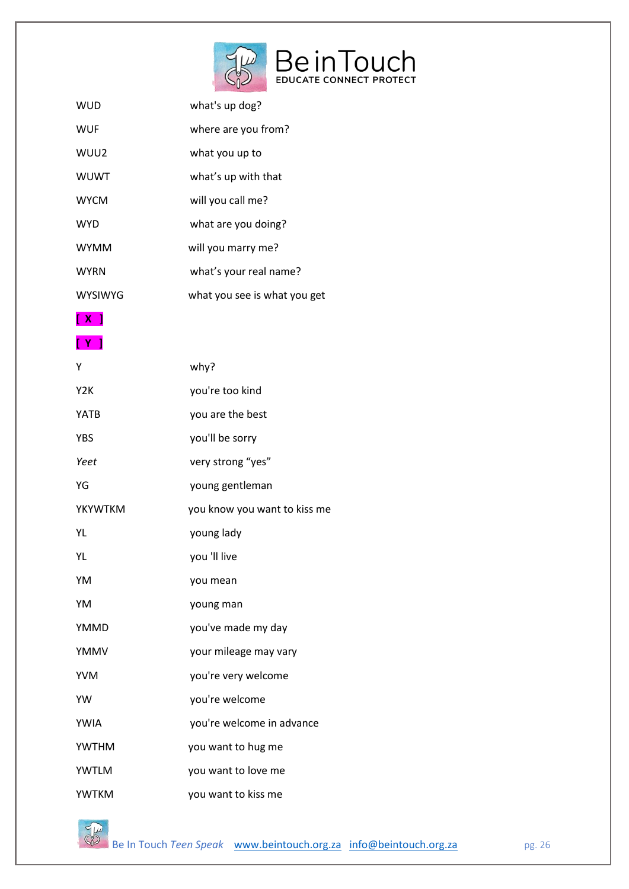

| WUD            | what's up dog?               |
|----------------|------------------------------|
| <b>WUF</b>     | where are you from?          |
| WUU2           | what you up to               |
| <b>WUWT</b>    | what's up with that          |
| <b>WYCM</b>    | will you call me?            |
| <b>WYD</b>     | what are you doing?          |
| <b>WYMM</b>    | will you marry me?           |
| <b>WYRN</b>    | what's your real name?       |
| <b>WYSIWYG</b> | what you see is what you get |
| [ X ]          |                              |
| [ Y ]          |                              |
| Υ              | why?                         |

| Y <sub>2</sub> K | you're too kind              |
|------------------|------------------------------|
| <b>YATB</b>      | you are the best             |
| <b>YBS</b>       | you'll be sorry              |
| Yeet             | very strong "yes"            |
| YG               | young gentleman              |
| <b>YKYWTKM</b>   | you know you want to kiss me |
| YL               | young lady                   |
| YL               | you 'Il live                 |
| YM               | you mean                     |
| YM               | young man                    |
| YMMD             | you've made my day           |
| <b>YMMV</b>      | your mileage may vary        |
| <b>YVM</b>       | you're very welcome          |
| YW               | you're welcome               |
| <b>YWIA</b>      | you're welcome in advance    |
| <b>YWTHM</b>     | you want to hug me           |
| <b>YWTLM</b>     | you want to love me          |
| <b>YWTKM</b>     | you want to kiss me          |



Be In Touch *Teen Speak* [www.beintouch.org.za](http://www.beintouch.org.za/) [info@beintouch.org.za](mailto:info@beintouch.org.za) pg. 26 pg. 26